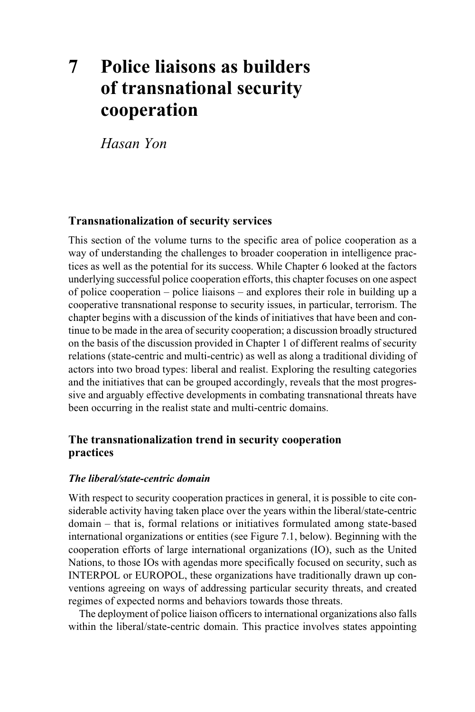# **7 Police liaisons as builders of transnational security cooperation**

*Hasan Yon*

# **Transnationalization of security services**

This section of the volume turns to the specific area of police cooperation as a way of understanding the challenges to broader cooperation in intelligence practices as well as the potential for its success. While Chapter 6 looked at the factors underlying successful police cooperation efforts, this chapter focuses on one aspect of police cooperation – police liaisons – and explores their role in building up a cooperative transnational response to security issues, in particular, terrorism. The chapter begins with a discussion of the kinds of initiatives that have been and continue to be made in the area of security cooperation; a discussion broadly structured on the basis of the discussion provided in Chapter 1 of different realms of security relations (state- centric and multi- centric) as well as along a traditional dividing of actors into two broad types: liberal and realist. Exploring the resulting categories and the initiatives that can be grouped accordingly, reveals that the most progressive and arguably effective developments in combating transnational threats have been occurring in the realist state and multi-centric domains.

# **The transnationalization trend in security cooperation practices**

### *The liberal/state- centric domain*

With respect to security cooperation practices in general, it is possible to cite considerable activity having taken place over the years within the liberal/state- centric domain – that is, formal relations or initiatives formulated among state- based international organizations or entities (see Figure 7.1, below). Beginning with the cooperation efforts of large international organizations (IO), such as the United Nations, to those IOs with agendas more specifically focused on security, such as INTERPOL or EUROPOL, these organizations have traditionally drawn up conventions agreeing on ways of addressing particular security threats, and created regimes of expected norms and behaviors towards those threats.

The deployment of police liaison officers to international organizations also falls within the liberal/state-centric domain. This practice involves states appointing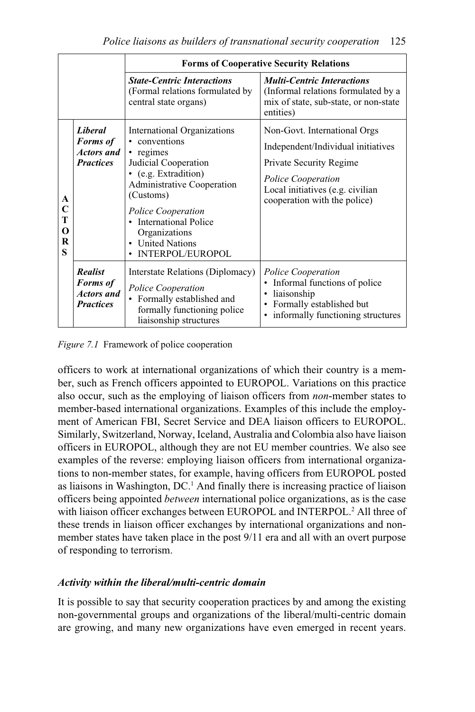|                                       |                                                                            | <b>Forms of Cooperative Security Relations</b>                                                                                                                                                                                                                                                                        |                                                                                                                                                                                                |  |  |
|---------------------------------------|----------------------------------------------------------------------------|-----------------------------------------------------------------------------------------------------------------------------------------------------------------------------------------------------------------------------------------------------------------------------------------------------------------------|------------------------------------------------------------------------------------------------------------------------------------------------------------------------------------------------|--|--|
|                                       |                                                                            | <b>State-Centric Interactions</b><br>(Formal relations formulated by<br>central state organs)                                                                                                                                                                                                                         | <b>Multi-Centric Interactions</b><br>(Informal relations formulated by a<br>mix of state, sub-state, or non-state<br>entities)                                                                 |  |  |
| A<br>$\mathsf{C}$<br>т<br>O<br>R<br>S | <b>Liberal</b><br><b>Forms of</b><br><b>Actors</b> and<br><b>Practices</b> | International Organizations<br>• conventions<br>• regimes<br>Judicial Cooperation<br>• (e.g. Extradition)<br><b>Administrative Cooperation</b><br>(Customs)<br><b>Police Cooperation</b><br>International Police<br>$\bullet$<br>Organizations<br><b>United Nations</b><br>$\bullet$<br>INTERPOL/EUROPOL<br>$\bullet$ | Non-Govt. International Orgs<br>Independent/Individual initiatives<br><b>Private Security Regime</b><br>Police Cooperation<br>Local initiatives (e.g. civilian<br>cooperation with the police) |  |  |
|                                       | <b>Realist</b><br><b>Forms of</b><br><b>Actors</b> and<br><b>Practices</b> | Interstate Relations (Diplomacy)<br>Police Cooperation<br>• Formally established and<br>formally functioning police<br>liaisonship structures                                                                                                                                                                         | Police Cooperation<br>Informal functions of police<br>٠<br>liaisonship<br>٠<br>Formally established but<br>٠<br>informally functioning structures<br>٠                                         |  |  |

*Figure 7.1* Framework of police cooperation

officers to work at international organizations of which their country is a member, such as French officers appointed to EUROPOL. Variations on this practice also occur, such as the employing of liaison officers from *non*- member states to member- based international organizations. Examples of this include the employment of American FBI, Secret Service and DEA liaison officers to EUROPOL. Similarly, Switzerland, Norway, Iceland, Australia and Colombia also have liaison officers in EUROPOL, although they are not EU member countries. We also see examples of the reverse: employing liaison officers from international organizations to non- member states, for example, having officers from EUROPOL posted as liaisons in Washington,  $DC<sup>1</sup>$  And finally there is increasing practice of liaison officers being appointed *between* international police organizations, as is the case with liaison officer exchanges between EUROPOL and INTERPOL.<sup>2</sup> All three of these trends in liaison officer exchanges by international organizations and non member states have taken place in the post 9/11 era and all with an overt purpose of responding to terrorism.

## *Activity within the liberal/multi- centric domain*

It is possible to say that security cooperation practices by and among the existing non- governmental groups and organizations of the liberal/multi- centric domain are growing, and many new organizations have even emerged in recent years.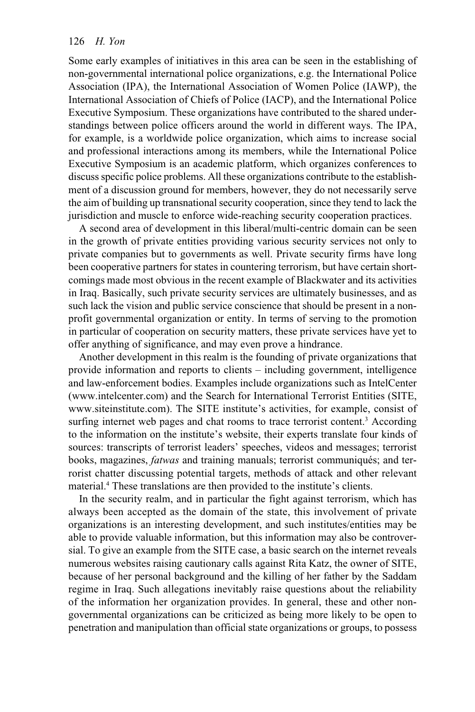Some early examples of initiatives in this area can be seen in the establishing of non- governmental international police organizations, e.g. the International Police Association (IPA), the International Association of Women Police (IAWP), the International Association of Chiefs of Police (IACP), and the International Police Executive Symposium. These organizations have contributed to the shared understandings between police officers around the world in different ways. The IPA, for example, is a worldwide police organization, which aims to increase social and professional interactions among its members, while the International Police Executive Symposium is an academic platform, which organizes conferences to discuss specific police problems. All these organizations contribute to the establishment of a discussion ground for members, however, they do not necessarily serve the aim of building up transnational security cooperation, since they tend to lack the jurisdiction and muscle to enforce wide- reaching security cooperation practices.

A second area of development in this liberal/multi- centric domain can be seen in the growth of private entities providing various security services not only to private companies but to governments as well. Private security firms have long been cooperative partners for states in countering terrorism, but have certain shortcomings made most obvious in the recent example of Blackwater and its activities in Iraq. Basically, such private security services are ultimately businesses, and as such lack the vision and public service conscience that should be present in a non profit governmental organization or entity. In terms of serving to the promotion in particular of cooperation on security matters, these private services have yet to offer anything of significance, and may even prove a hindrance.

Another development in this realm is the founding of private organizations that provide information and reports to clients – including government, intelligence and law- enforcement bodies. Examples include organizations such as IntelCenter (www.intelcenter.com) and the Search for International Terrorist Entities (SITE, www.siteinstitute.com). The SITE institute's activities, for example, consist of surfing internet web pages and chat rooms to trace terrorist content.<sup>3</sup> According to the information on the institute's website, their experts translate four kinds of sources: transcripts of terrorist leaders' speeches, videos and messages; terrorist books, magazines, *fatwas* and training manuals; terrorist communiqués; and terrorist chatter discussing potential targets, methods of attack and other relevant material.4 These translations are then provided to the institute's clients.

In the security realm, and in particular the fight against terrorism, which has always been accepted as the domain of the state, this involvement of private organizations is an interesting development, and such institutes/entities may be able to provide valuable information, but this information may also be controversial. To give an example from the SITE case, a basic search on the internet reveals numerous websites raising cautionary calls against Rita Katz, the owner of SITE, because of her personal background and the killing of her father by the Saddam regime in Iraq. Such allegations inevitably raise questions about the reliability of the information her organization provides. In general, these and other non governmental organizations can be criticized as being more likely to be open to penetration and manipulation than official state organizations or groups, to possess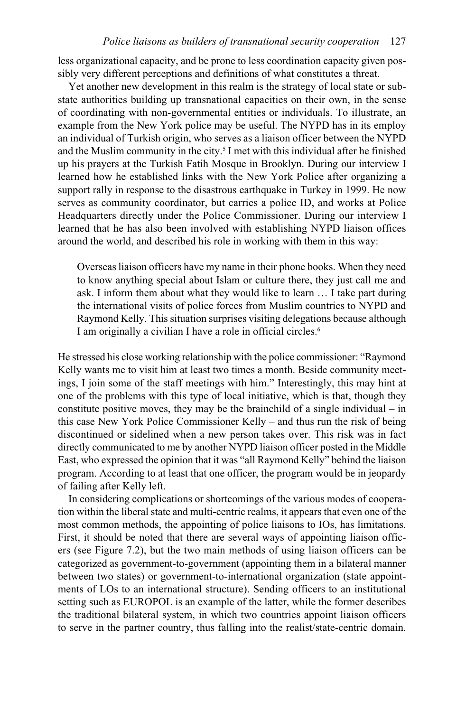less organizational capacity, and be prone to less coordination capacity given possibly very different perceptions and definitions of what constitutes a threat.

Yet another new development in this realm is the strategy of local state or sub state authorities building up transnational capacities on their own, in the sense of coordinating with non- governmental entities or individuals. To illustrate, an example from the New York police may be useful. The NYPD has in its employ an individual of Turkish origin, who serves as a liaison officer between the NYPD and the Muslim community in the city.<sup>5</sup> I met with this individual after he finished up his prayers at the Turkish Fatih Mosque in Brooklyn. During our interview I learned how he established links with the New York Police after organizing a support rally in response to the disastrous earthquake in Turkey in 1999. He now serves as community coordinator, but carries a police ID, and works at Police Headquarters directly under the Police Commissioner. During our interview I learned that he has also been involved with establishing NYPD liaison offices around the world, and described his role in working with them in this way:

Overseas liaison officers have my name in their phone books. When they need to know anything special about Islam or culture there, they just call me and ask. I inform them about what they would like to learn … I take part during the international visits of police forces from Muslim countries to NYPD and Raymond Kelly. This situation surprises visiting delegations because although I am originally a civilian I have a role in official circles.<sup>6</sup>

He stressed his close working relationship with the police commissioner: "Raymond Kelly wants me to visit him at least two times a month. Beside community meetings, I join some of the staff meetings with him." Interestingly, this may hint at one of the problems with this type of local initiative, which is that, though they constitute positive moves, they may be the brainchild of a single individual – in this case New York Police Commissioner Kelly – and thus run the risk of being discontinued or sidelined when a new person takes over. This risk was in fact directly communicated to me by another NYPD liaison officer posted in the Middle East, who expressed the opinion that it was "all Raymond Kelly" behind the liaison program. According to at least that one officer, the program would be in jeopardy of failing after Kelly left.

In considering complications or shortcomings of the various modes of cooperation within the liberal state and multi- centric realms, it appears that even one of the most common methods, the appointing of police liaisons to IOs, has limitations. First, it should be noted that there are several ways of appointing liaison officers (see Figure 7.2), but the two main methods of using liaison officers can be categorized as government-to-government (appointing them in a bilateral manner between two states) or government-to-international organization (state appointments of LOs to an international structure). Sending officers to an institutional setting such as EUROPOL is an example of the latter, while the former describes the traditional bilateral system, in which two countries appoint liaison officers to serve in the partner country, thus falling into the realist/state- centric domain.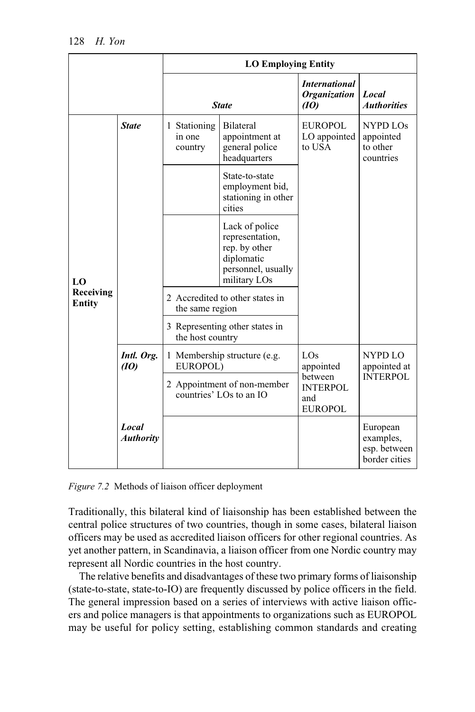|                            |                           | <b>LO Employing Entity</b>                             |                                                                                                        |                                                                         |                                                            |  |
|----------------------------|---------------------------|--------------------------------------------------------|--------------------------------------------------------------------------------------------------------|-------------------------------------------------------------------------|------------------------------------------------------------|--|
|                            |                           | <b>State</b>                                           |                                                                                                        | <b>International</b><br><i><b>Organization</b></i><br>(10)              | <b>Local</b><br><b>Authorities</b>                         |  |
|                            | <b>State</b>              | 1 Stationing<br>in one<br>country                      | Bilateral<br>appointment at<br>general police<br>headquarters<br>State-to-state<br>employment bid,     | <b>EUROPOL</b><br>LO appointed<br>to USA                                | NYPD LO <sub>s</sub><br>appointed<br>to other<br>countries |  |
|                            |                           |                                                        | stationing in other<br>cities                                                                          |                                                                         |                                                            |  |
| LO                         |                           |                                                        | Lack of police<br>representation,<br>rep. by other<br>diplomatic<br>personnel, usually<br>military LOs |                                                                         |                                                            |  |
| Receiving<br><b>Entity</b> |                           | the same region                                        | 2 Accredited to other states in                                                                        |                                                                         |                                                            |  |
|                            |                           | 3 Representing other states in<br>the host country     |                                                                                                        |                                                                         |                                                            |  |
|                            | Intl. Org.<br>(10)        | 1 Membership structure (e.g.<br>EUROPOL)               |                                                                                                        | LOs<br>appointed<br>between<br><b>INTERPOL</b><br>and<br><b>EUROPOL</b> | NYPD LO<br>appointed at<br><b>INTERPOL</b>                 |  |
|                            |                           | 2 Appointment of non-member<br>countries' LOs to an IO |                                                                                                        |                                                                         |                                                            |  |
|                            | Local<br><b>Authority</b> |                                                        |                                                                                                        |                                                                         | European<br>examples,<br>esp. between<br>border cities     |  |

*Figure 7.2* Methods of liaison officer deployment

Traditionally, this bilateral kind of liaisonship has been established between the central police structures of two countries, though in some cases, bilateral liaison officers may be used as accredited liaison officers for other regional countries. As yet another pattern, in Scandinavia, a liaison officer from one Nordic country may represent all Nordic countries in the host country.

The relative benefits and disadvantages of these two primary forms of liaisonship (state- to- state, state- to- IO) are frequently discussed by police officers in the field. The general impression based on a series of interviews with active liaison officers and police managers is that appointments to organizations such as EUROPOL may be useful for policy setting, establishing common standards and creating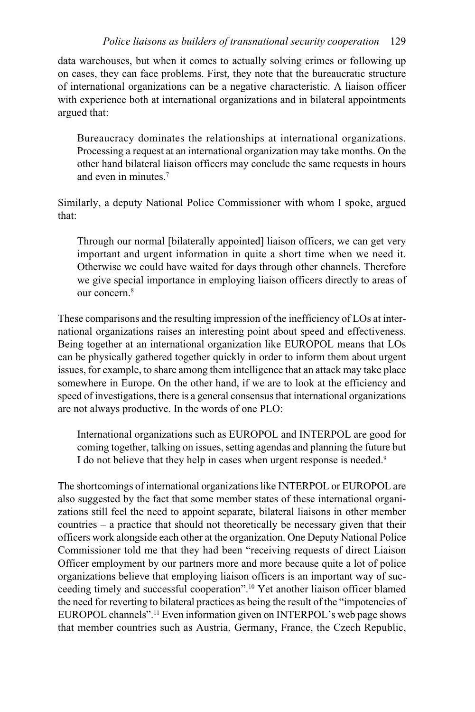data warehouses, but when it comes to actually solving crimes or following up on cases, they can face problems. First, they note that the bureaucratic structure of international organizations can be a negative characteristic. A liaison officer with experience both at international organizations and in bilateral appointments argued that:

Bureaucracy dominates the relationships at international organizations. Processing a request at an international organization may take months. On the other hand bilateral liaison officers may conclude the same requests in hours and even in minutes<sup>7</sup>

Similarly, a deputy National Police Commissioner with whom I spoke, argued that:

Through our normal [bilaterally appointed] liaison officers, we can get very important and urgent information in quite a short time when we need it. Otherwise we could have waited for days through other channels. Therefore we give special importance in employing liaison officers directly to areas of our concern.<sup>8</sup>

These comparisons and the resulting impression of the inefficiency of LOs at international organizations raises an interesting point about speed and effectiveness. Being together at an international organization like EUROPOL means that LOs can be physically gathered together quickly in order to inform them about urgent issues, for example, to share among them intelligence that an attack may take place somewhere in Europe. On the other hand, if we are to look at the efficiency and speed of investigations, there is a general consensus that international organizations are not always productive. In the words of one PLO:

International organizations such as EUROPOL and INTERPOL are good for coming together, talking on issues, setting agendas and planning the future but I do not believe that they help in cases when urgent response is needed.<sup>9</sup>

The shortcomings of international organizations like INTERPOL or EUROPOL are also suggested by the fact that some member states of these international organizations still feel the need to appoint separate, bilateral liaisons in other member countries – a practice that should not theoretically be necessary given that their officers work alongside each other at the organization. One Deputy National Police Commissioner told me that they had been "receiving requests of direct Liaison Officer employment by our partners more and more because quite a lot of police organizations believe that employing liaison officers is an important way of succeeding timely and successful cooperation".10 Yet another liaison officer blamed the need for reverting to bilateral practices as being the result of the "impotencies of EUROPOL channels".11 Even information given on INTERPOL's web page shows that member countries such as Austria, Germany, France, the Czech Republic,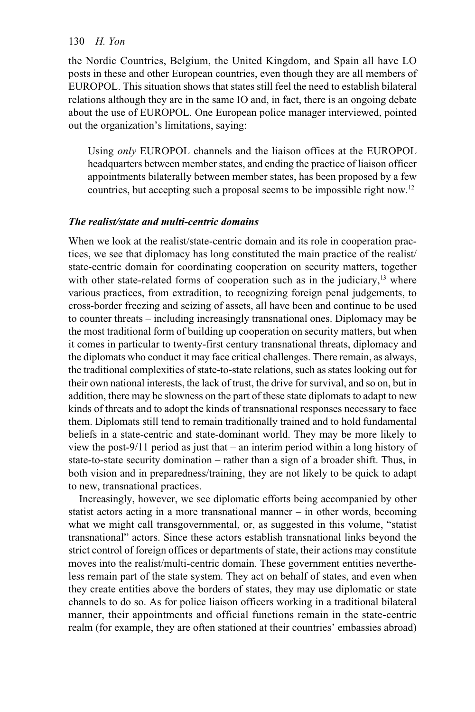the Nordic Countries, Belgium, the United Kingdom, and Spain all have LO posts in these and other European countries, even though they are all members of EUROPOL. This situation shows that states still feel the need to establish bilateral relations although they are in the same IO and, in fact, there is an ongoing debate about the use of EUROPOL. One European police manager interviewed, pointed out the organization's limitations, saying:

Using *only* EUROPOL channels and the liaison offices at the EUROPOL headquarters between member states, and ending the practice of liaison officer appointments bilaterally between member states, has been proposed by a few countries, but accepting such a proposal seems to be impossible right now.12

### *The realist/state and multi- centric domains*

When we look at the realist/state-centric domain and its role in cooperation practices, we see that diplomacy has long constituted the main practice of the realist/ state- centric domain for coordinating cooperation on security matters, together with other state-related forms of cooperation such as in the judiciary,<sup>13</sup> where various practices, from extradition, to recognizing foreign penal judgements, to cross- border freezing and seizing of assets, all have been and continue to be used to counter threats – including increasingly transnational ones. Diplomacy may be the most traditional form of building up cooperation on security matters, but when it comes in particular to twenty- first century transnational threats, diplomacy and the diplomats who conduct it may face critical challenges. There remain, as always, the traditional complexities of state- to- state relations, such as states looking out for their own national interests, the lack of trust, the drive for survival, and so on, but in addition, there may be slowness on the part of these state diplomats to adapt to new kinds of threats and to adopt the kinds of transnational responses necessary to face them. Diplomats still tend to remain traditionally trained and to hold fundamental beliefs in a state- centric and state- dominant world. They may be more likely to view the post- $9/11$  period as just that – an interim period within a long history of state- to- state security domination – rather than a sign of a broader shift. Thus, in both vision and in preparedness/training, they are not likely to be quick to adapt to new, transnational practices.

Increasingly, however, we see diplomatic efforts being accompanied by other statist actors acting in a more transnational manner – in other words, becoming what we might call transgovernmental, or, as suggested in this volume, "statist transnational" actors. Since these actors establish transnational links beyond the strict control of foreign offices or departments of state, their actions may constitute moves into the realist/multi- centric domain. These government entities nevertheless remain part of the state system. They act on behalf of states, and even when they create entities above the borders of states, they may use diplomatic or state channels to do so. As for police liaison officers working in a traditional bilateral manner, their appointments and official functions remain in the state- centric realm (for example, they are often stationed at their countries' embassies abroad)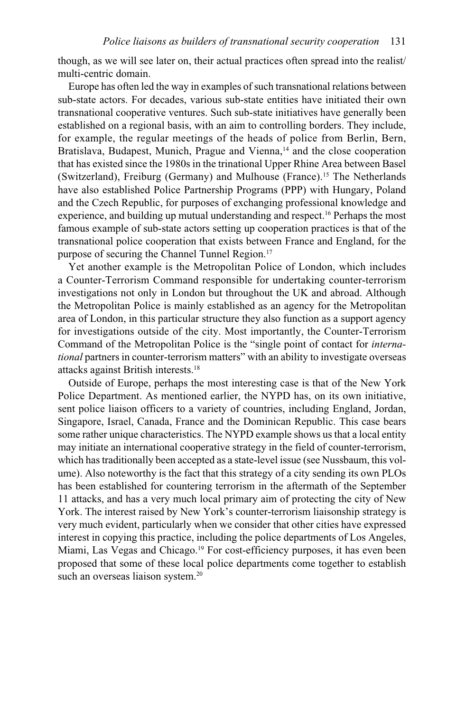though, as we will see later on, their actual practices often spread into the realist/ multi-centric domain.

Europe has often led the way in examples of such transnational relations between sub- state actors. For decades, various sub- state entities have initiated their own transnational cooperative ventures. Such sub- state initiatives have generally been established on a regional basis, with an aim to controlling borders. They include, for example, the regular meetings of the heads of police from Berlin, Bern, Bratislava, Budapest, Munich, Prague and Vienna,<sup>14</sup> and the close cooperation that has existed since the 1980s in the trinational Upper Rhine Area between Basel (Switzerland), Freiburg (Germany) and Mulhouse (France).15 The Netherlands have also established Police Partnership Programs (PPP) with Hungary, Poland and the Czech Republic, for purposes of exchanging professional knowledge and experience, and building up mutual understanding and respect.<sup>16</sup> Perhaps the most famous example of sub- state actors setting up cooperation practices is that of the transnational police cooperation that exists between France and England, for the purpose of securing the Channel Tunnel Region.<sup>17</sup>

Yet another example is the Metropolitan Police of London, which includes a Counter- Terrorism Command responsible for undertaking counter- terrorism investigations not only in London but throughout the UK and abroad. Although the Metropolitan Police is mainly established as an agency for the Metropolitan area of London, in this particular structure they also function as a support agency for investigations outside of the city. Most importantly, the Counter- Terrorism Command of the Metropolitan Police is the "single point of contact for *international* partners in counter-terrorism matters" with an ability to investigate overseas attacks against British interests.18

Outside of Europe, perhaps the most interesting case is that of the New York Police Department. As mentioned earlier, the NYPD has, on its own initiative, sent police liaison officers to a variety of countries, including England, Jordan, Singapore, Israel, Canada, France and the Dominican Republic. This case bears some rather unique characteristics. The NYPD example shows us that a local entity may initiate an international cooperative strategy in the field of counter- terrorism, which has traditionally been accepted as a state- level issue (see Nussbaum, this volume). Also noteworthy is the fact that this strategy of a city sending its own PLOs has been established for countering terrorism in the aftermath of the September 11 attacks, and has a very much local primary aim of protecting the city of New York. The interest raised by New York's counter- terrorism liaisonship strategy is very much evident, particularly when we consider that other cities have expressed interest in copying this practice, including the police departments of Los Angeles, Miami, Las Vegas and Chicago.<sup>19</sup> For cost-efficiency purposes, it has even been proposed that some of these local police departments come together to establish such an overseas liaison system.<sup>20</sup>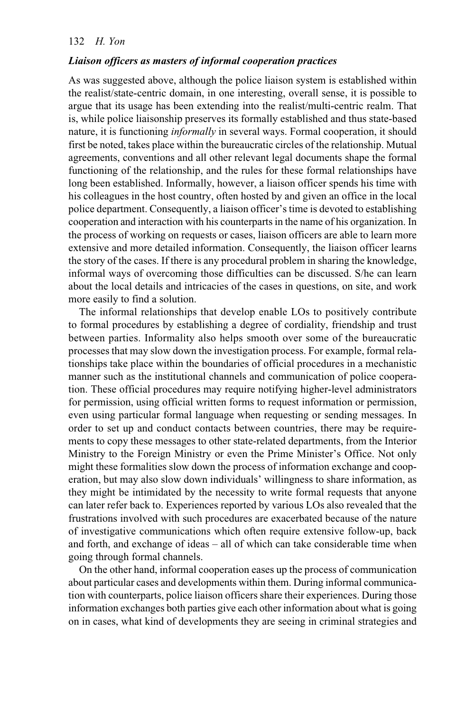#### *Liaison officers as masters of informal cooperation practices*

As was suggested above, although the police liaison system is established within the realist/state- centric domain, in one interesting, overall sense, it is possible to argue that its usage has been extending into the realist/multi- centric realm. That is, while police liaisonship preserves its formally established and thus state- based nature, it is functioning *informally* in several ways. Formal cooperation, it should first be noted, takes place within the bureaucratic circles of the relationship. Mutual agreements, conventions and all other relevant legal documents shape the formal functioning of the relationship, and the rules for these formal relationships have long been established. Informally, however, a liaison officer spends his time with his colleagues in the host country, often hosted by and given an office in the local police department. Consequently, a liaison officer's time is devoted to establishing cooperation and interaction with his counterparts in the name of his organization. In the process of working on requests or cases, liaison officers are able to learn more extensive and more detailed information. Consequently, the liaison officer learns the story of the cases. If there is any procedural problem in sharing the knowledge, informal ways of overcoming those difficulties can be discussed. S/he can learn about the local details and intricacies of the cases in questions, on site, and work more easily to find a solution.

The informal relationships that develop enable LOs to positively contribute to formal procedures by establishing a degree of cordiality, friendship and trust between parties. Informality also helps smooth over some of the bureaucratic processes that may slow down the investigation process. For example, formal relationships take place within the boundaries of official procedures in a mechanistic manner such as the institutional channels and communication of police cooperation. These official procedures may require notifying higher- level administrators for permission, using official written forms to request information or permission, even using particular formal language when requesting or sending messages. In order to set up and conduct contacts between countries, there may be requirements to copy these messages to other state- related departments, from the Interior Ministry to the Foreign Ministry or even the Prime Minister's Office. Not only might these formalities slow down the process of information exchange and cooperation, but may also slow down individuals' willingness to share information, as they might be intimidated by the necessity to write formal requests that anyone can later refer back to. Experiences reported by various LOs also revealed that the frustrations involved with such procedures are exacerbated because of the nature of investigative communications which often require extensive follow- up, back and forth, and exchange of ideas – all of which can take considerable time when going through formal channels.

On the other hand, informal cooperation eases up the process of communication about particular cases and developments within them. During informal communication with counterparts, police liaison officers share their experiences. During those information exchanges both parties give each other information about what is going on in cases, what kind of developments they are seeing in criminal strategies and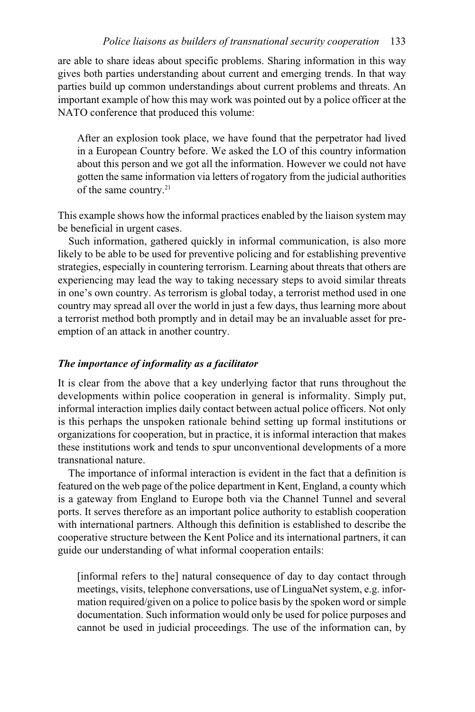are able to share ideas about specific problems. Sharing information in this way gives both parties understanding about current and emerging trends. In that way parties build up common understandings about current problems and threats. An important example of how this may work was pointed out by a police officer at the NATO conference that produced this volume:

After an explosion took place, we have found that the perpetrator had lived in a European Country before. We asked the LO of this country information about this person and we got all the information. However we could not have gotten the same information via letters of rogatory from the judicial authorities of the same country.21

This example shows how the informal practices enabled by the liaison system may be beneficial in urgent cases.

Such information, gathered quickly in informal communication, is also more likely to be able to be used for preventive policing and for establishing preventive strategies, especially in countering terrorism. Learning about threats that others are experiencing may lead the way to taking necessary steps to avoid similar threats in one's own country. As terrorism is global today, a terrorist method used in one country may spread all over the world in just a few days, thus learning more about a terrorist method both promptly and in detail may be an invaluable asset for pre emption of an attack in another country.

### *The importance of informality as a facilitator*

It is clear from the above that a key underlying factor that runs throughout the developments within police cooperation in general is informality. Simply put, informal interaction implies daily contact between actual police officers. Not only is this perhaps the unspoken rationale behind setting up formal institutions or organizations for cooperation, but in practice, it is informal interaction that makes these institutions work and tends to spur unconventional developments of a more transnational nature.

The importance of informal interaction is evident in the fact that a definition is featured on the web page of the police department in Kent, England, a county which is a gateway from England to Europe both via the Channel Tunnel and several ports. It serves therefore as an important police authority to establish cooperation with international partners. Although this definition is established to describe the cooperative structure between the Kent Police and its international partners, it can guide our understanding of what informal cooperation entails:

[informal refers to the] natural consequence of day to day contact through meetings, visits, telephone conversations, use of LinguaNet system, e.g. information required/given on a police to police basis by the spoken word or simple documentation. Such information would only be used for police purposes and cannot be used in judicial proceedings. The use of the information can, by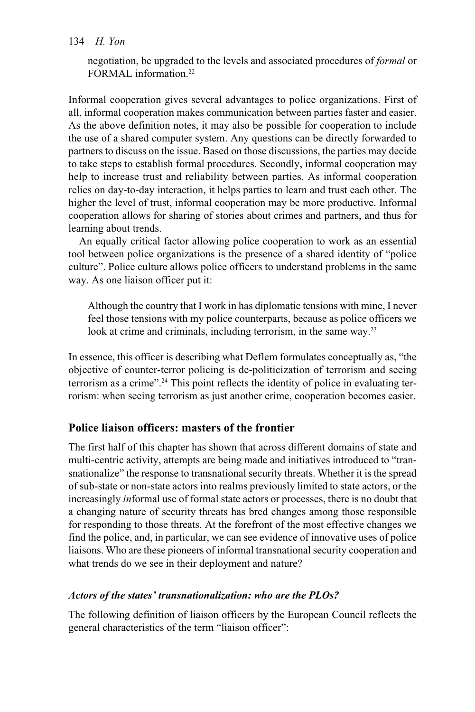negotiation, be upgraded to the levels and associated procedures of *formal* or FORMAL information<sup>22</sup>

Informal cooperation gives several advantages to police organizations. First of all, informal cooperation makes communication between parties faster and easier. As the above definition notes, it may also be possible for cooperation to include the use of a shared computer system. Any questions can be directly forwarded to partners to discuss on the issue. Based on those discussions, the parties may decide to take steps to establish formal procedures. Secondly, informal cooperation may help to increase trust and reliability between parties. As informal cooperation relies on day-to-day interaction, it helps parties to learn and trust each other. The higher the level of trust, informal cooperation may be more productive. Informal cooperation allows for sharing of stories about crimes and partners, and thus for learning about trends.

An equally critical factor allowing police cooperation to work as an essential tool between police organizations is the presence of a shared identity of "police culture". Police culture allows police officers to understand problems in the same way. As one liaison officer put it:

Although the country that I work in has diplomatic tensions with mine, I never feel those tensions with my police counterparts, because as police officers we look at crime and criminals, including terrorism, in the same way.<sup>23</sup>

In essence, this officer is describing what Deflem formulates conceptually as, "the objective of counter- terror policing is de- politicization of terrorism and seeing terrorism as a crime".<sup>24</sup> This point reflects the identity of police in evaluating terrorism: when seeing terrorism as just another crime, cooperation becomes easier.

# **Police liaison officers: masters of the frontier**

The first half of this chapter has shown that across different domains of state and multi- centric activity, attempts are being made and initiatives introduced to "transnationalize" the response to transnational security threats. Whether it is the spread of sub- state or non- state actors into realms previously limited to state actors, or the increasingly *in*formal use of formal state actors or processes, there is no doubt that a changing nature of security threats has bred changes among those responsible for responding to those threats. At the forefront of the most effective changes we find the police, and, in particular, we can see evidence of innovative uses of police liaisons. Who are these pioneers of informal transnational security cooperation and what trends do we see in their deployment and nature?

# *Actors of the states' transnationalization: who are the PLOs?*

The following definition of liaison officers by the European Council reflects the general characteristics of the term "liaison officer":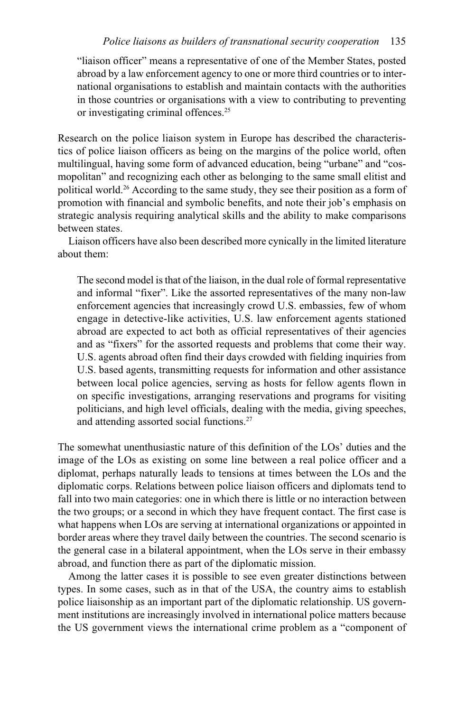"liaison officer" means a representative of one of the Member States, posted abroad by a law enforcement agency to one or more third countries or to international organisations to establish and maintain contacts with the authorities in those countries or organisations with a view to contributing to preventing or investigating criminal offences.<sup>25</sup>

Research on the police liaison system in Europe has described the characteristics of police liaison officers as being on the margins of the police world, often multilingual, having some form of advanced education, being "urbane" and "cosmopolitan" and recognizing each other as belonging to the same small elitist and political world.26 According to the same study, they see their position as a form of promotion with financial and symbolic benefits, and note their job's emphasis on strategic analysis requiring analytical skills and the ability to make comparisons between states.

Liaison officers have also been described more cynically in the limited literature about them:

The second model is that of the liaison, in the dual role of formal representative and informal "fixer". Like the assorted representatives of the many non- law enforcement agencies that increasingly crowd U.S. embassies, few of whom engage in detective- like activities, U.S. law enforcement agents stationed abroad are expected to act both as official representatives of their agencies and as "fixers" for the assorted requests and problems that come their way. U.S. agents abroad often find their days crowded with fielding inquiries from U.S. based agents, transmitting requests for information and other assistance between local police agencies, serving as hosts for fellow agents flown in on specific investigations, arranging reservations and programs for visiting politicians, and high level officials, dealing with the media, giving speeches, and attending assorted social functions.27

The somewhat unenthusiastic nature of this definition of the LOs' duties and the image of the LOs as existing on some line between a real police officer and a diplomat, perhaps naturally leads to tensions at times between the LOs and the diplomatic corps. Relations between police liaison officers and diplomats tend to fall into two main categories: one in which there is little or no interaction between the two groups; or a second in which they have frequent contact. The first case is what happens when LOs are serving at international organizations or appointed in border areas where they travel daily between the countries. The second scenario is the general case in a bilateral appointment, when the LOs serve in their embassy abroad, and function there as part of the diplomatic mission.

Among the latter cases it is possible to see even greater distinctions between types. In some cases, such as in that of the USA, the country aims to establish police liaisonship as an important part of the diplomatic relationship. US government institutions are increasingly involved in international police matters because the US government views the international crime problem as a "component of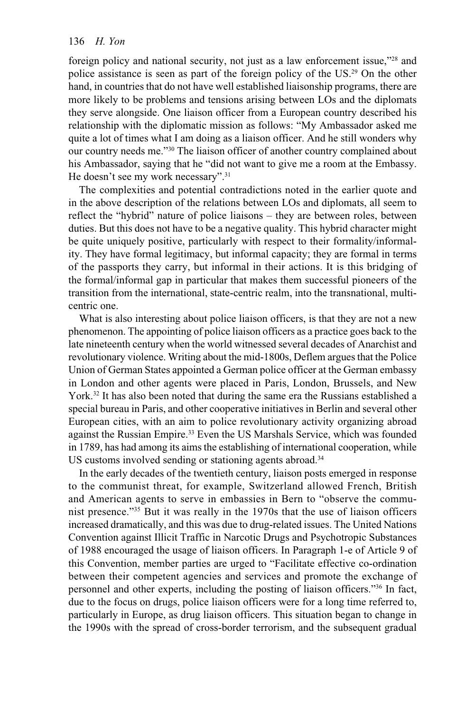foreign policy and national security, not just as a law enforcement issue,"28 and police assistance is seen as part of the foreign policy of the US.29 On the other hand, in countries that do not have well established liaisonship programs, there are more likely to be problems and tensions arising between LOs and the diplomats they serve alongside. One liaison officer from a European country described his relationship with the diplomatic mission as follows: "My Ambassador asked me quite a lot of times what I am doing as a liaison officer. And he still wonders why our country needs me."30 The liaison officer of another country complained about his Ambassador, saying that he "did not want to give me a room at the Embassy. He doesn't see my work necessary".<sup>31</sup>

The complexities and potential contradictions noted in the earlier quote and in the above description of the relations between LOs and diplomats, all seem to reflect the "hybrid" nature of police liaisons – they are between roles, between duties. But this does not have to be a negative quality. This hybrid character might be quite uniquely positive, particularly with respect to their formality/informality. They have formal legitimacy, but informal capacity; they are formal in terms of the passports they carry, but informal in their actions. It is this bridging of the formal/informal gap in particular that makes them successful pioneers of the transition from the international, state- centric realm, into the transnational, multi centric one.

What is also interesting about police liaison officers, is that they are not a new phenomenon. The appointing of police liaison officers as a practice goes back to the late nineteenth century when the world witnessed several decades of Anarchist and revolutionary violence. Writing about the mid- 1800s, Deflem argues that the Police Union of German States appointed a German police officer at the German embassy in London and other agents were placed in Paris, London, Brussels, and New York.32 It has also been noted that during the same era the Russians established a special bureau in Paris, and other cooperative initiatives in Berlin and several other European cities, with an aim to police revolutionary activity organizing abroad against the Russian Empire.<sup>33</sup> Even the US Marshals Service, which was founded in 1789, has had among its aims the establishing of international cooperation, while US customs involved sending or stationing agents abroad.<sup>34</sup>

In the early decades of the twentieth century, liaison posts emerged in response to the communist threat, for example, Switzerland allowed French, British and American agents to serve in embassies in Bern to "observe the communist presence."35 But it was really in the 1970s that the use of liaison officers increased dramatically, and this was due to drug- related issues. The United Nations Convention against Illicit Traffic in Narcotic Drugs and Psychotropic Substances of 1988 encouraged the usage of liaison officers. In Paragraph 1-e of Article 9 of this Convention, member parties are urged to "Facilitate effective co- ordination between their competent agencies and services and promote the exchange of personnel and other experts, including the posting of liaison officers."36 In fact, due to the focus on drugs, police liaison officers were for a long time referred to, particularly in Europe, as drug liaison officers. This situation began to change in the 1990s with the spread of cross- border terrorism, and the subsequent gradual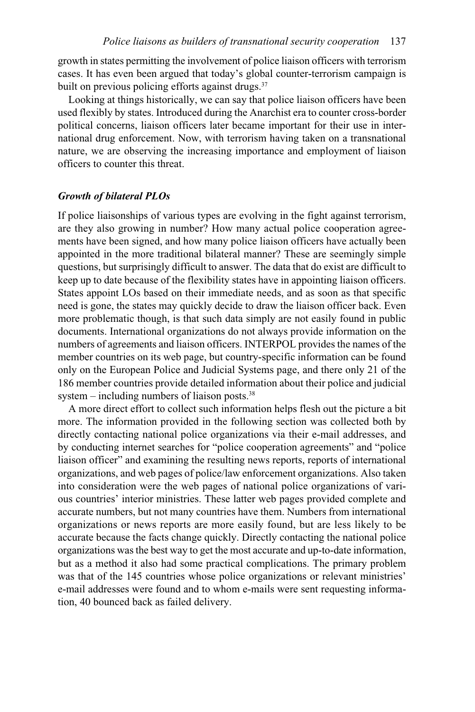growth in states permitting the involvement of police liaison officers with terrorism cases. It has even been argued that today's global counter- terrorism campaign is built on previous policing efforts against drugs.<sup>37</sup>

Looking at things historically, we can say that police liaison officers have been used flexibly by states. Introduced during the Anarchist era to counter cross- border political concerns, liaison officers later became important for their use in international drug enforcement. Now, with terrorism having taken on a transnational nature, we are observing the increasing importance and employment of liaison officers to counter this threat.

### *Growth of bilateral PLOs*

If police liaisonships of various types are evolving in the fight against terrorism, are they also growing in number? How many actual police cooperation agreements have been signed, and how many police liaison officers have actually been appointed in the more traditional bilateral manner? These are seemingly simple questions, but surprisingly difficult to answer. The data that do exist are difficult to keep up to date because of the flexibility states have in appointing liaison officers. States appoint LOs based on their immediate needs, and as soon as that specific need is gone, the states may quickly decide to draw the liaison officer back. Even more problematic though, is that such data simply are not easily found in public documents. International organizations do not always provide information on the numbers of agreements and liaison officers. INTERPOL provides the names of the member countries on its web page, but country- specific information can be found only on the European Police and Judicial Systems page, and there only 21 of the 186 member countries provide detailed information about their police and judicial system  $-$  including numbers of liaison posts.<sup>38</sup>

A more direct effort to collect such information helps flesh out the picture a bit more. The information provided in the following section was collected both by directly contacting national police organizations via their e- mail addresses, and by conducting internet searches for "police cooperation agreements" and "police liaison officer" and examining the resulting news reports, reports of international organizations, and web pages of police/law enforcement organizations. Also taken into consideration were the web pages of national police organizations of various countries' interior ministries. These latter web pages provided complete and accurate numbers, but not many countries have them. Numbers from international organizations or news reports are more easily found, but are less likely to be accurate because the facts change quickly. Directly contacting the national police organizations was the best way to get the most accurate and up- to- date information, but as a method it also had some practical complications. The primary problem was that of the 145 countries whose police organizations or relevant ministries' e- mail addresses were found and to whom e- mails were sent requesting information, 40 bounced back as failed delivery.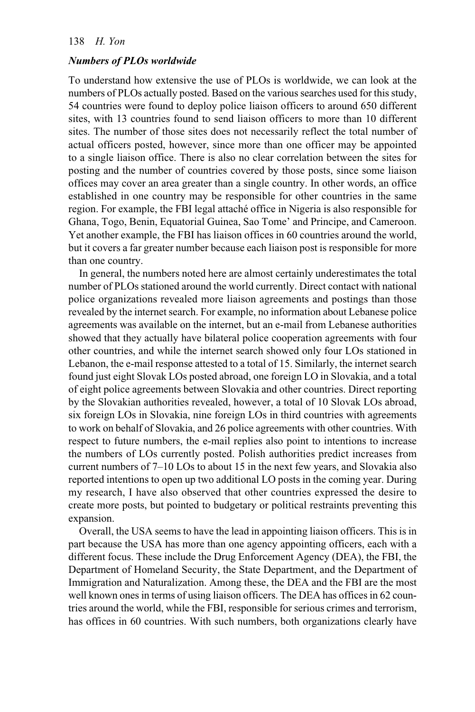#### *Numbers of PLOs worldwide*

To understand how extensive the use of PLOs is worldwide, we can look at the numbers of PLOs actually posted. Based on the various searches used for this study, 54 countries were found to deploy police liaison officers to around 650 different sites, with 13 countries found to send liaison officers to more than 10 different sites. The number of those sites does not necessarily reflect the total number of actual officers posted, however, since more than one officer may be appointed to a single liaison office. There is also no clear correlation between the sites for posting and the number of countries covered by those posts, since some liaison offices may cover an area greater than a single country. In other words, an office established in one country may be responsible for other countries in the same region. For example, the FBI legal attaché office in Nigeria is also responsible for Ghana, Togo, Benin, Equatorial Guinea, Sao Tome' and Principe, and Cameroon. Yet another example, the FBI has liaison offices in 60 countries around the world, but it covers a far greater number because each liaison post is responsible for more than one country.

In general, the numbers noted here are almost certainly underestimates the total number of PLOs stationed around the world currently. Direct contact with national police organizations revealed more liaison agreements and postings than those revealed by the internet search. For example, no information about Lebanese police agreements was available on the internet, but an e- mail from Lebanese authorities showed that they actually have bilateral police cooperation agreements with four other countries, and while the internet search showed only four LOs stationed in Lebanon, the e- mail response attested to a total of 15. Similarly, the internet search found just eight Slovak LOs posted abroad, one foreign LO in Slovakia, and a total of eight police agreements between Slovakia and other countries. Direct reporting by the Slovakian authorities revealed, however, a total of 10 Slovak LOs abroad, six foreign LOs in Slovakia, nine foreign LOs in third countries with agreements to work on behalf of Slovakia, and 26 police agreements with other countries. With respect to future numbers, the e-mail replies also point to intentions to increase the numbers of LOs currently posted. Polish authorities predict increases from current numbers of 7–10 LOs to about 15 in the next few years, and Slovakia also reported intentions to open up two additional LO posts in the coming year. During my research, I have also observed that other countries expressed the desire to create more posts, but pointed to budgetary or political restraints preventing this expansion.

Overall, the USA seems to have the lead in appointing liaison officers. This is in part because the USA has more than one agency appointing officers, each with a different focus. These include the Drug Enforcement Agency (DEA), the FBI, the Department of Homeland Security, the State Department, and the Department of Immigration and Naturalization. Among these, the DEA and the FBI are the most well known ones in terms of using liaison officers. The DEA has offices in 62 countries around the world, while the FBI, responsible for serious crimes and terrorism, has offices in 60 countries. With such numbers, both organizations clearly have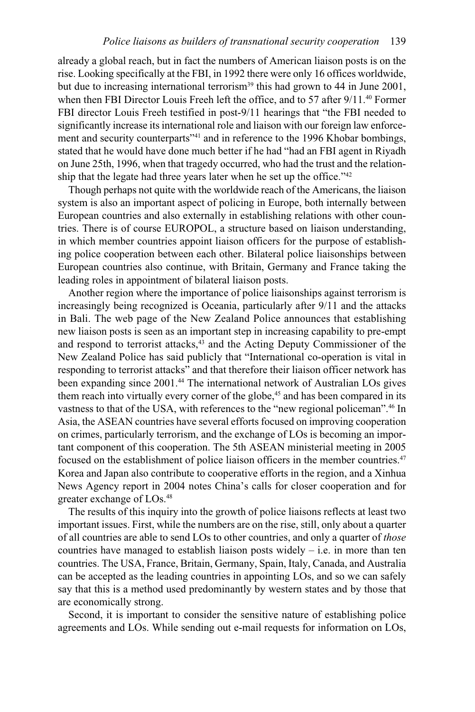already a global reach, but in fact the numbers of American liaison posts is on the rise. Looking specifically at the FBI, in 1992 there were only 16 offices worldwide, but due to increasing international terrorism<sup>39</sup> this had grown to 44 in June 2001, when then FBI Director Louis Freeh left the office, and to 57 after 9/11.<sup>40</sup> Former FBI director Louis Freeh testified in post-9/11 hearings that "the FBI needed to significantly increase its international role and liaison with our foreign law enforcement and security counterparts"<sup>41</sup> and in reference to the 1996 Khobar bombings, stated that he would have done much better if he had "had an FBI agent in Riyadh on June 25th, 1996, when that tragedy occurred, who had the trust and the relationship that the legate had three years later when he set up the office."<sup>42</sup>

Though perhaps not quite with the worldwide reach of the Americans, the liaison system is also an important aspect of policing in Europe, both internally between European countries and also externally in establishing relations with other countries. There is of course EUROPOL, a structure based on liaison understanding, in which member countries appoint liaison officers for the purpose of establishing police cooperation between each other. Bilateral police liaisonships between European countries also continue, with Britain, Germany and France taking the leading roles in appointment of bilateral liaison posts.

Another region where the importance of police liaisonships against terrorism is increasingly being recognized is Oceania, particularly after 9/11 and the attacks in Bali. The web page of the New Zealand Police announces that establishing new liaison posts is seen as an important step in increasing capability to pre- empt and respond to terrorist attacks,<sup>43</sup> and the Acting Deputy Commissioner of the New Zealand Police has said publicly that "International co- operation is vital in responding to terrorist attacks" and that therefore their liaison officer network has been expanding since 2001.<sup>44</sup> The international network of Australian LOs gives them reach into virtually every corner of the globe, $45$  and has been compared in its vastness to that of the USA, with references to the "new regional policeman".46 In Asia, the ASEAN countries have several efforts focused on improving cooperation on crimes, particularly terrorism, and the exchange of LOs is becoming an important component of this cooperation. The 5th ASEAN ministerial meeting in 2005 focused on the establishment of police liaison officers in the member countries.47 Korea and Japan also contribute to cooperative efforts in the region, and a Xinhua News Agency report in 2004 notes China's calls for closer cooperation and for greater exchange of LOs.48

The results of this inquiry into the growth of police liaisons reflects at least two important issues. First, while the numbers are on the rise, still, only about a quarter of all countries are able to send LOs to other countries, and only a quarter of *those* countries have managed to establish liaison posts widely  $-$  i.e. in more than ten countries. The USA, France, Britain, Germany, Spain, Italy, Canada, and Australia can be accepted as the leading countries in appointing LOs, and so we can safely say that this is a method used predominantly by western states and by those that are economically strong.

Second, it is important to consider the sensitive nature of establishing police agreements and LOs. While sending out e- mail requests for information on LOs,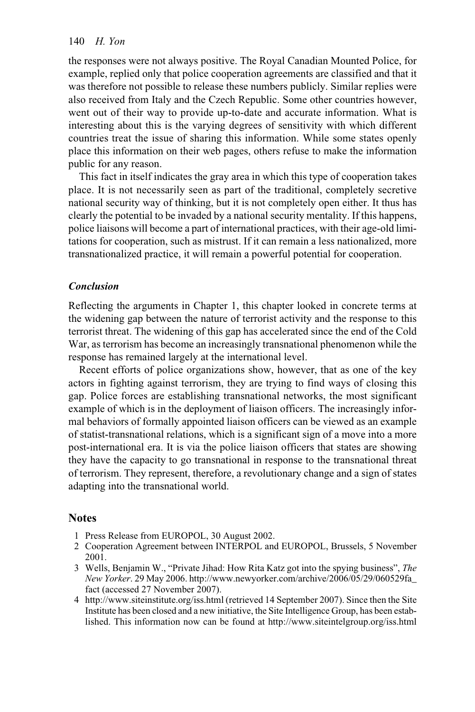the responses were not always positive. The Royal Canadian Mounted Police, for example, replied only that police cooperation agreements are classified and that it was therefore not possible to release these numbers publicly. Similar replies were also received from Italy and the Czech Republic. Some other countries however, went out of their way to provide up-to-date and accurate information. What is interesting about this is the varying degrees of sensitivity with which different countries treat the issue of sharing this information. While some states openly place this information on their web pages, others refuse to make the information public for any reason.

This fact in itself indicates the gray area in which this type of cooperation takes place. It is not necessarily seen as part of the traditional, completely secretive national security way of thinking, but it is not completely open either. It thus has clearly the potential to be invaded by a national security mentality. If this happens, police liaisons will become a part of international practices, with their age- old limitations for cooperation, such as mistrust. If it can remain a less nationalized, more transnationalized practice, it will remain a powerful potential for cooperation.

## *Conclusion*

Reflecting the arguments in Chapter 1, this chapter looked in concrete terms at the widening gap between the nature of terrorist activity and the response to this terrorist threat. The widening of this gap has accelerated since the end of the Cold War, as terrorism has become an increasingly transnational phenomenon while the response has remained largely at the international level.

Recent efforts of police organizations show, however, that as one of the key actors in fighting against terrorism, they are trying to find ways of closing this gap. Police forces are establishing transnational networks, the most significant example of which is in the deployment of liaison officers. The increasingly informal behaviors of formally appointed liaison officers can be viewed as an example of statist- transnational relations, which is a significant sign of a move into a more post- international era. It is via the police liaison officers that states are showing they have the capacity to go transnational in response to the transnational threat of terrorism. They represent, therefore, a revolutionary change and a sign of states adapting into the transnational world.

## **Notes**

- 1 Press Release from EUROPOL, 30 August 2002.
- 2 Cooperation Agreement between INTERPOL and EUROPOL, Brussels, 5 November 2001.
- 3 Wells, Benjamin W., "Private Jihad: How Rita Katz got into the spying business", *The New Yorker*. 29 May 2006. http://www.newyorker.com/archive/2006/05/29/060529fa\_ fact (accessed 27 November 2007).
- 4 http://www.siteinstitute.org/iss.html (retrieved 14 September 2007). Since then the Site Institute has been closed and a new initiative, the Site Intelligence Group, has been established. This information now can be found at http://www.siteintelgroup.org/iss.html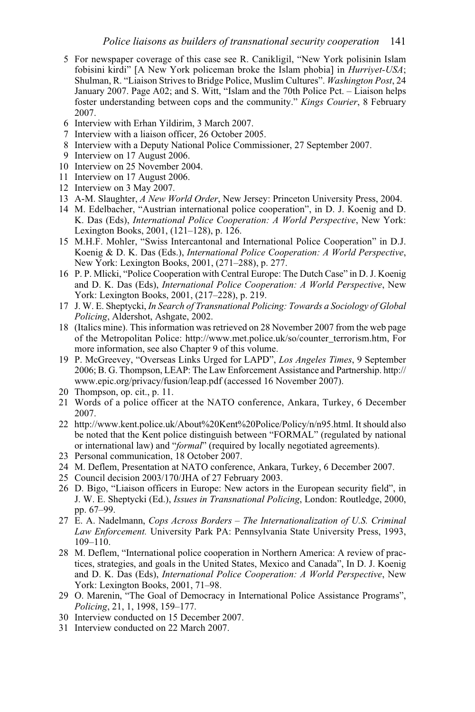- 5 For newspaper coverage of this case see R. Canikligil, "New York polisinin Islam fobisini kirdi" [A New York policeman broke the Islam phobia] in *Hurriyet- USA*; Shulman, R. "Liaison Strives to Bridge Police, Muslim Cultures". *Washington Post*, 24 January 2007. Page A02; and S. Witt, "Islam and the 70th Police Pct. – Liaison helps foster understanding between cops and the community." *Kings Courier*, 8 February 2007.
- 6 Interview with Erhan Yildirim, 3 March 2007.
- 7 Interview with a liaison officer, 26 October 2005.
- 8 Interview with a Deputy National Police Commissioner, 27 September 2007.
- 9 Interview on 17 August 2006.
- 10 Interview on 25 November 2004.
- 11 Interview on 17 August 2006.
- 12 Interview on 3 May 2007.
- 13 A- M. Slaughter, *A New World Order*, New Jersey: Princeton University Press, 2004.
- 14 M. Edelbacher, "Austrian international police cooperation", in D. J. Koenig and D. K. Das (Eds), *International Police Cooperation: A World Perspective*, New York: Lexington Books, 2001, (121–128), p. 126.
- 15 M.H.F. Mohler, "Swiss Intercantonal and International Police Cooperation" in D.J. Koenig & D. K. Das (Eds.), *International Police Cooperation: A World Perspective*, New York: Lexington Books, 2001, (271–288), p. 277.
- 16 P. P. Mlicki, "Police Cooperation with Central Europe: The Dutch Case" in D. J. Koenig and D. K. Das (Eds), *International Police Cooperation: A World Perspective*, New York: Lexington Books, 2001, (217–228), p. 219.
- 17 J. W. E. Sheptycki, *In Search of Transnational Policing: Towards a Sociology of Global Policing*, Aldershot, Ashgate, 2002.
- 18 (Italics mine). This information was retrieved on 28 November 2007 from the web page of the Metropolitan Police: http://www.met.police.uk/so/counter\_terrorism.htm, For more information, see also Chapter 9 of this volume.
- 19 P. McGreevey, "Overseas Links Urged for LAPD", *Los Angeles Times*, 9 September 2006; B. G. Thompson, LEAP: The Law Enforcement Assistance and Partnership. http:// www.epic.org/privacy/fusion/leap.pdf (accessed 16 November 2007).
- 20 Thompson, op. cit., p. 11.
- 21 Words of a police officer at the NATO conference, Ankara, Turkey, 6 December 2007.
- 22 http://www.kent.police.uk/About%20Kent%20Police/Policy/n/n95.html. It should also be noted that the Kent police distinguish between "FORMAL" (regulated by national or international law) and "*formal*" (required by locally negotiated agreements).
- 23 Personal communication, 18 October 2007.
- 24 M. Deflem, Presentation at NATO conference, Ankara, Turkey, 6 December 2007.
- 25 Council decision 2003/170/JHA of 27 February 2003.
- 26 D. Bigo, "Liaison officers in Europe: New actors in the European security field", in J. W. E. Sheptycki (Ed.), *Issues in Transnational Policing*, London: Routledge, 2000, pp. 67–99.
- 27 E. A. Nadelmann, *Cops Across Borders The Internationalization of U.S. Criminal Law Enforcement.* University Park PA: Pennsylvania State University Press, 1993, 109–110.
- 28 M. Deflem, "International police cooperation in Northern America: A review of practices, strategies, and goals in the United States, Mexico and Canada", In D. J. Koenig and D. K. Das (Eds), *International Police Cooperation: A World Perspective*, New York: Lexington Books, 2001, 71–98.
- 29 O. Marenin, "The Goal of Democracy in International Police Assistance Programs", *Policing*, 21, 1, 1998, 159–177.
- 30 Interview conducted on 15 December 2007.
- 31 Interview conducted on 22 March 2007.